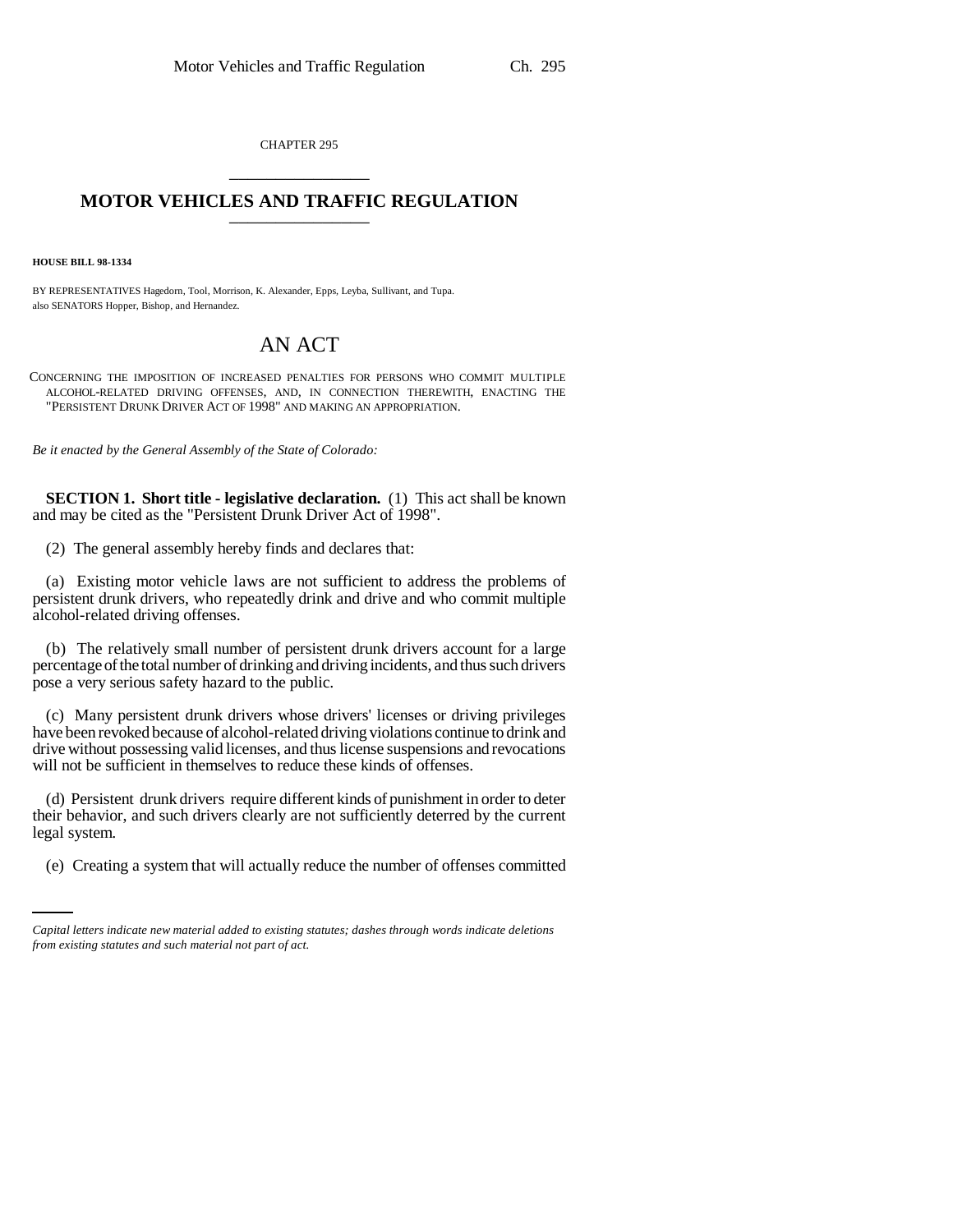CHAPTER 295 \_\_\_\_\_\_\_\_\_\_\_\_\_\_\_

## **MOTOR VEHICLES AND TRAFFIC REGULATION** \_\_\_\_\_\_\_\_\_\_\_\_\_\_\_

**HOUSE BILL 98-1334**

BY REPRESENTATIVES Hagedorn, Tool, Morrison, K. Alexander, Epps, Leyba, Sullivant, and Tupa. also SENATORS Hopper, Bishop, and Hernandez.

## AN ACT

CONCERNING THE IMPOSITION OF INCREASED PENALTIES FOR PERSONS WHO COMMIT MULTIPLE ALCOHOL-RELATED DRIVING OFFENSES, AND, IN CONNECTION THEREWITH, ENACTING THE "PERSISTENT DRUNK DRIVER ACT OF 1998" AND MAKING AN APPROPRIATION.

*Be it enacted by the General Assembly of the State of Colorado:*

**SECTION 1. Short title - legislative declaration.** (1) This act shall be known and may be cited as the "Persistent Drunk Driver Act of 1998".

(2) The general assembly hereby finds and declares that:

(a) Existing motor vehicle laws are not sufficient to address the problems of persistent drunk drivers, who repeatedly drink and drive and who commit multiple alcohol-related driving offenses.

(b) The relatively small number of persistent drunk drivers account for a large percentage of the total number of drinking and driving incidents, and thus such drivers pose a very serious safety hazard to the public.

(c) Many persistent drunk drivers whose drivers' licenses or driving privileges have been revoked because of alcohol-related driving violations continue to drink and drive without possessing valid licenses, and thus license suspensions and revocations will not be sufficient in themselves to reduce these kinds of offenses.

legal system. (d) Persistent drunk drivers require different kinds of punishment in order to deter their behavior, and such drivers clearly are not sufficiently deterred by the current

(e) Creating a system that will actually reduce the number of offenses committed

*Capital letters indicate new material added to existing statutes; dashes through words indicate deletions from existing statutes and such material not part of act.*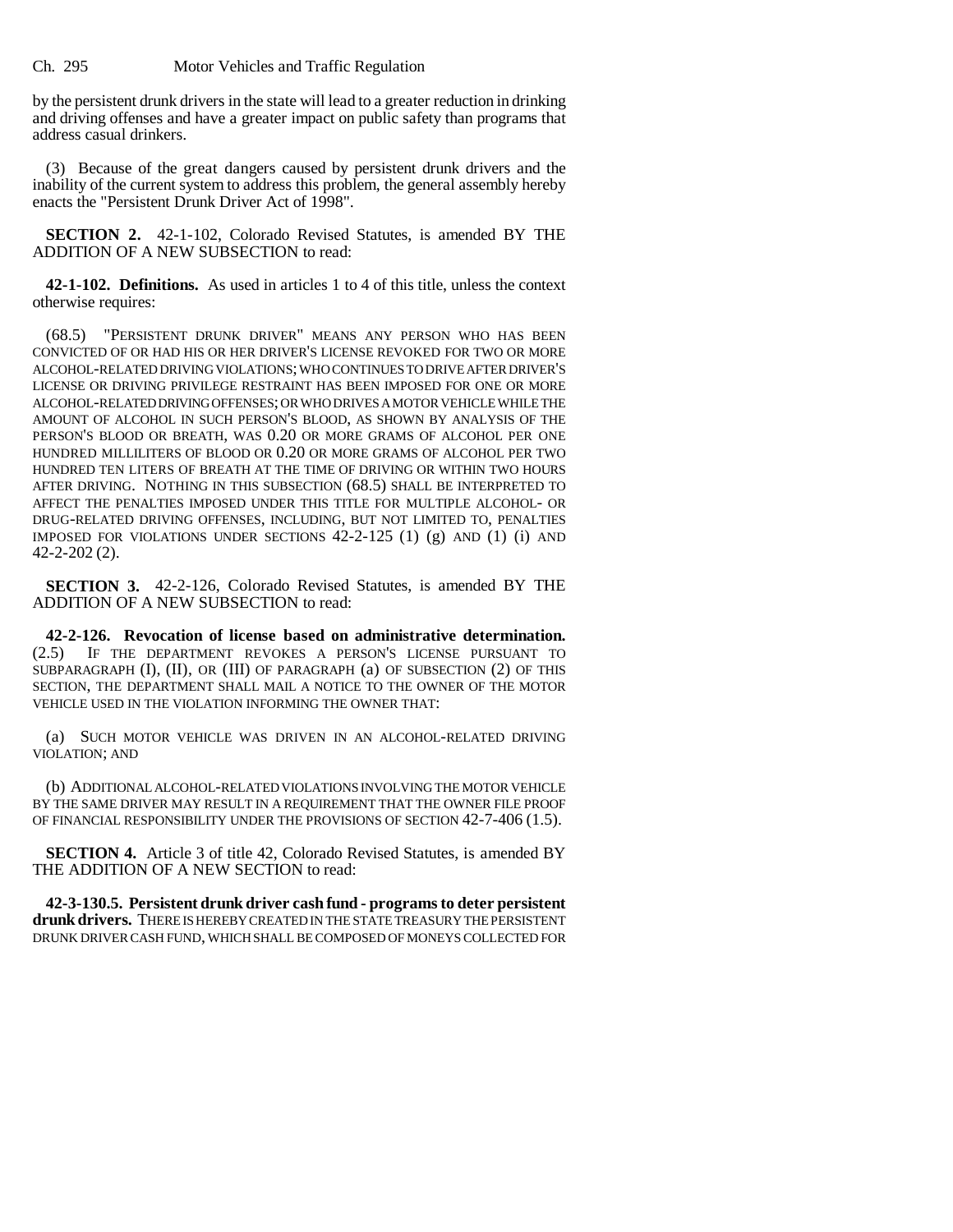by the persistent drunk drivers in the state will lead to a greater reduction in drinking and driving offenses and have a greater impact on public safety than programs that address casual drinkers.

(3) Because of the great dangers caused by persistent drunk drivers and the inability of the current system to address this problem, the general assembly hereby enacts the "Persistent Drunk Driver Act of 1998".

**SECTION 2.** 42-1-102, Colorado Revised Statutes, is amended BY THE ADDITION OF A NEW SUBSECTION to read:

**42-1-102. Definitions.** As used in articles 1 to 4 of this title, unless the context otherwise requires:

(68.5) "PERSISTENT DRUNK DRIVER" MEANS ANY PERSON WHO HAS BEEN CONVICTED OF OR HAD HIS OR HER DRIVER'S LICENSE REVOKED FOR TWO OR MORE ALCOHOL-RELATED DRIVING VIOLATIONS; WHO CONTINUES TO DRIVE AFTER DRIVER'S LICENSE OR DRIVING PRIVILEGE RESTRAINT HAS BEEN IMPOSED FOR ONE OR MORE ALCOHOL-RELATED DRIVING OFFENSES; OR WHO DRIVES A MOTOR VEHICLE WHILE THE AMOUNT OF ALCOHOL IN SUCH PERSON'S BLOOD, AS SHOWN BY ANALYSIS OF THE PERSON'S BLOOD OR BREATH, WAS 0.20 OR MORE GRAMS OF ALCOHOL PER ONE HUNDRED MILLILITERS OF BLOOD OR 0.20 OR MORE GRAMS OF ALCOHOL PER TWO HUNDRED TEN LITERS OF BREATH AT THE TIME OF DRIVING OR WITHIN TWO HOURS AFTER DRIVING. NOTHING IN THIS SUBSECTION (68.5) SHALL BE INTERPRETED TO AFFECT THE PENALTIES IMPOSED UNDER THIS TITLE FOR MULTIPLE ALCOHOL- OR DRUG-RELATED DRIVING OFFENSES, INCLUDING, BUT NOT LIMITED TO, PENALTIES IMPOSED FOR VIOLATIONS UNDER SECTIONS 42-2-125 (1) (g) AND (1) (i) AND 42-2-202 (2).

**SECTION 3.** 42-2-126, Colorado Revised Statutes, is amended BY THE ADDITION OF A NEW SUBSECTION to read:

**42-2-126. Revocation of license based on administrative determination.** (2.5) IF THE DEPARTMENT REVOKES A PERSON'S LICENSE PURSUANT TO SUBPARAGRAPH (I), (II), OR (III) OF PARAGRAPH (a) OF SUBSECTION (2) OF THIS SECTION, THE DEPARTMENT SHALL MAIL A NOTICE TO THE OWNER OF THE MOTOR VEHICLE USED IN THE VIOLATION INFORMING THE OWNER THAT:

(a) SUCH MOTOR VEHICLE WAS DRIVEN IN AN ALCOHOL-RELATED DRIVING VIOLATION; AND

(b) ADDITIONAL ALCOHOL-RELATED VIOLATIONS INVOLVING THE MOTOR VEHICLE BY THE SAME DRIVER MAY RESULT IN A REQUIREMENT THAT THE OWNER FILE PROOF OF FINANCIAL RESPONSIBILITY UNDER THE PROVISIONS OF SECTION 42-7-406 (1.5).

**SECTION 4.** Article 3 of title 42, Colorado Revised Statutes, is amended BY THE ADDITION OF A NEW SECTION to read:

**42-3-130.5. Persistent drunk driver cash fund - programs to deter persistent drunk drivers.** THERE IS HEREBY CREATED IN THE STATE TREASURY THE PERSISTENT DRUNK DRIVER CASH FUND, WHICH SHALL BE COMPOSED OF MONEYS COLLECTED FOR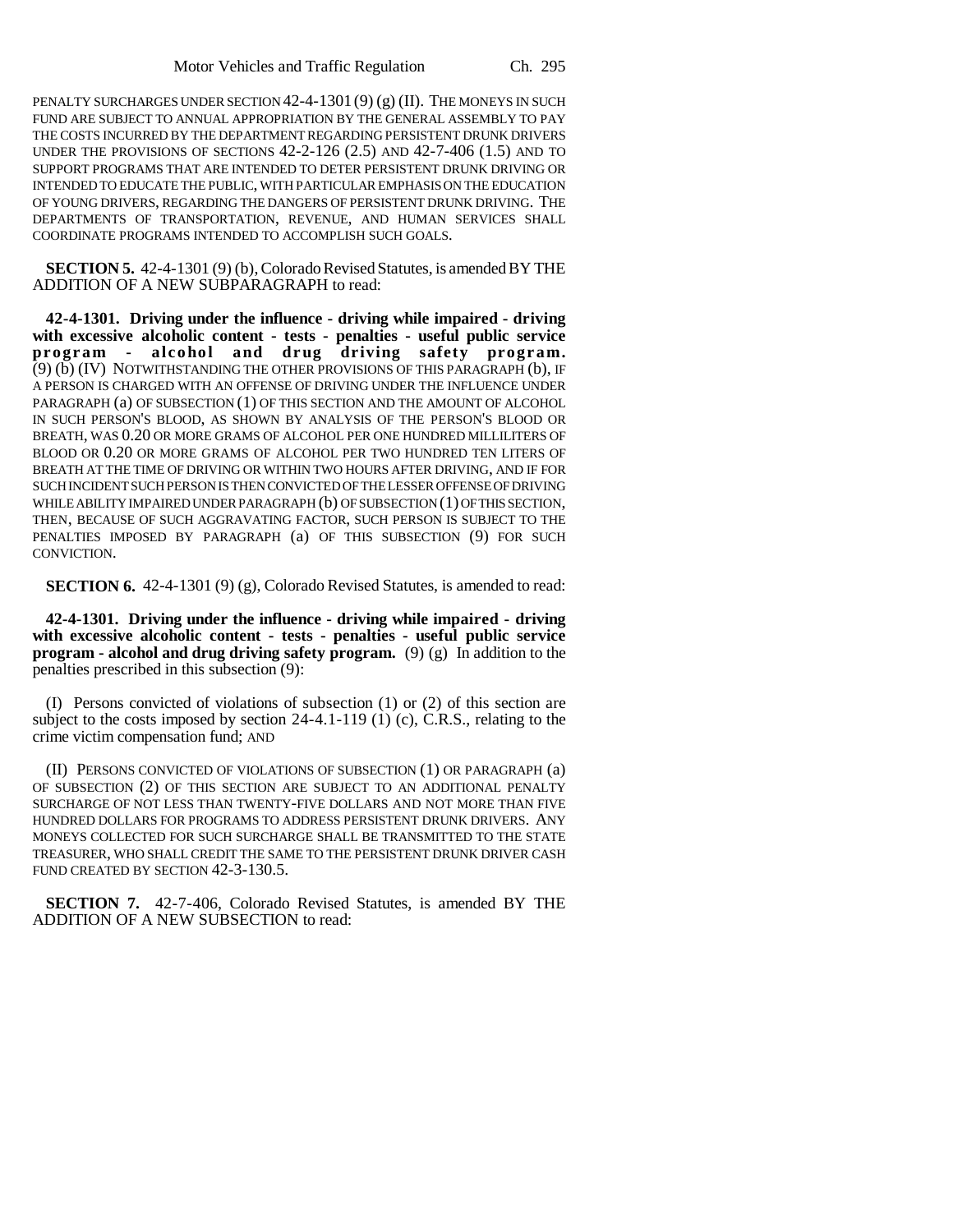PENALTY SURCHARGES UNDER SECTION  $42-4-1301(9)(g)(II)$ . The MONEYS IN SUCH FUND ARE SUBJECT TO ANNUAL APPROPRIATION BY THE GENERAL ASSEMBLY TO PAY THE COSTS INCURRED BY THE DEPARTMENT REGARDING PERSISTENT DRUNK DRIVERS UNDER THE PROVISIONS OF SECTIONS 42-2-126 (2.5) AND 42-7-406 (1.5) AND TO SUPPORT PROGRAMS THAT ARE INTENDED TO DETER PERSISTENT DRUNK DRIVING OR INTENDED TO EDUCATE THE PUBLIC, WITH PARTICULAR EMPHASIS ON THE EDUCATION OF YOUNG DRIVERS, REGARDING THE DANGERS OF PERSISTENT DRUNK DRIVING. THE DEPARTMENTS OF TRANSPORTATION, REVENUE, AND HUMAN SERVICES SHALL COORDINATE PROGRAMS INTENDED TO ACCOMPLISH SUCH GOALS.

**SECTION 5.** 42-4-1301 (9) (b), Colorado Revised Statutes, is amended BY THE ADDITION OF A NEW SUBPARAGRAPH to read:

**42-4-1301. Driving under the influence - driving while impaired - driving with excessive alcoholic content - tests - penalties - useful public service program - alcohol and drug driving safety program.** (9) (b) (IV) NOTWITHSTANDING THE OTHER PROVISIONS OF THIS PARAGRAPH (b), IF A PERSON IS CHARGED WITH AN OFFENSE OF DRIVING UNDER THE INFLUENCE UNDER PARAGRAPH (a) OF SUBSECTION (1) OF THIS SECTION AND THE AMOUNT OF ALCOHOL IN SUCH PERSON'S BLOOD, AS SHOWN BY ANALYSIS OF THE PERSON'S BLOOD OR BREATH, WAS 0.20 OR MORE GRAMS OF ALCOHOL PER ONE HUNDRED MILLILITERS OF BLOOD OR 0.20 OR MORE GRAMS OF ALCOHOL PER TWO HUNDRED TEN LITERS OF BREATH AT THE TIME OF DRIVING OR WITHIN TWO HOURS AFTER DRIVING, AND IF FOR SUCH INCIDENT SUCH PERSON IS THEN CONVICTED OF THE LESSER OFFENSE OF DRIVING WHILE ABILITY IMPAIRED UNDER PARAGRAPH (b) OF SUBSECTION (1) OF THIS SECTION, THEN, BECAUSE OF SUCH AGGRAVATING FACTOR, SUCH PERSON IS SUBJECT TO THE PENALTIES IMPOSED BY PARAGRAPH (a) OF THIS SUBSECTION (9) FOR SUCH CONVICTION.

**SECTION 6.** 42-4-1301 (9) (g), Colorado Revised Statutes, is amended to read:

**42-4-1301. Driving under the influence - driving while impaired - driving with excessive alcoholic content - tests - penalties - useful public service program - alcohol and drug driving safety program.** (9) (g) In addition to the penalties prescribed in this subsection (9):

(I) Persons convicted of violations of subsection (1) or (2) of this section are subject to the costs imposed by section 24-4.1-119 (1) (c), C.R.S., relating to the crime victim compensation fund; AND

(II) PERSONS CONVICTED OF VIOLATIONS OF SUBSECTION (1) OR PARAGRAPH (a) OF SUBSECTION (2) OF THIS SECTION ARE SUBJECT TO AN ADDITIONAL PENALTY SURCHARGE OF NOT LESS THAN TWENTY-FIVE DOLLARS AND NOT MORE THAN FIVE HUNDRED DOLLARS FOR PROGRAMS TO ADDRESS PERSISTENT DRUNK DRIVERS. ANY MONEYS COLLECTED FOR SUCH SURCHARGE SHALL BE TRANSMITTED TO THE STATE TREASURER, WHO SHALL CREDIT THE SAME TO THE PERSISTENT DRUNK DRIVER CASH FUND CREATED BY SECTION 42-3-130.5.

**SECTION 7.** 42-7-406, Colorado Revised Statutes, is amended BY THE ADDITION OF A NEW SUBSECTION to read: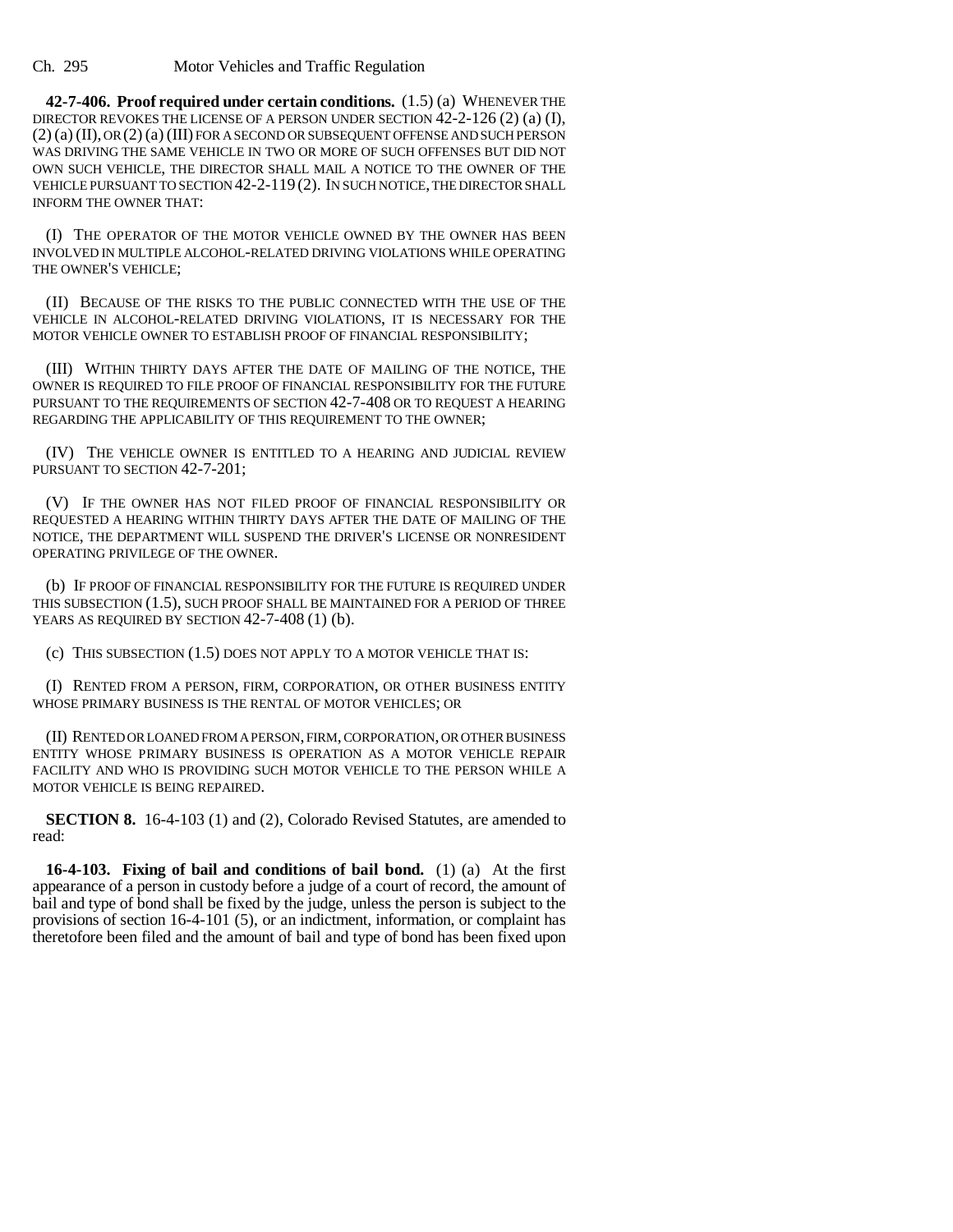**42-7-406. Proof required under certain conditions.** (1.5) (a) WHENEVER THE DIRECTOR REVOKES THE LICENSE OF A PERSON UNDER SECTION 42-2-126 (2) (a) (I), (2) (a) (II), OR (2) (a) (III) FOR A SECOND OR SUBSEQUENT OFFENSE AND SUCH PERSON WAS DRIVING THE SAME VEHICLE IN TWO OR MORE OF SUCH OFFENSES BUT DID NOT OWN SUCH VEHICLE, THE DIRECTOR SHALL MAIL A NOTICE TO THE OWNER OF THE VEHICLE PURSUANT TO SECTION 42-2-119 (2). IN SUCH NOTICE, THE DIRECTOR SHALL INFORM THE OWNER THAT:

(I) THE OPERATOR OF THE MOTOR VEHICLE OWNED BY THE OWNER HAS BEEN INVOLVED IN MULTIPLE ALCOHOL-RELATED DRIVING VIOLATIONS WHILE OPERATING THE OWNER'S VEHICLE;

(II) BECAUSE OF THE RISKS TO THE PUBLIC CONNECTED WITH THE USE OF THE VEHICLE IN ALCOHOL-RELATED DRIVING VIOLATIONS, IT IS NECESSARY FOR THE MOTOR VEHICLE OWNER TO ESTABLISH PROOF OF FINANCIAL RESPONSIBILITY;

(III) WITHIN THIRTY DAYS AFTER THE DATE OF MAILING OF THE NOTICE, THE OWNER IS REQUIRED TO FILE PROOF OF FINANCIAL RESPONSIBILITY FOR THE FUTURE PURSUANT TO THE REQUIREMENTS OF SECTION 42-7-408 OR TO REQUEST A HEARING REGARDING THE APPLICABILITY OF THIS REQUIREMENT TO THE OWNER;

(IV) THE VEHICLE OWNER IS ENTITLED TO A HEARING AND JUDICIAL REVIEW PURSUANT TO SECTION 42-7-201;

(V) IF THE OWNER HAS NOT FILED PROOF OF FINANCIAL RESPONSIBILITY OR REQUESTED A HEARING WITHIN THIRTY DAYS AFTER THE DATE OF MAILING OF THE NOTICE, THE DEPARTMENT WILL SUSPEND THE DRIVER'S LICENSE OR NONRESIDENT OPERATING PRIVILEGE OF THE OWNER.

(b) IF PROOF OF FINANCIAL RESPONSIBILITY FOR THE FUTURE IS REQUIRED UNDER THIS SUBSECTION (1.5), SUCH PROOF SHALL BE MAINTAINED FOR A PERIOD OF THREE YEARS AS REQUIRED BY SECTION 42-7-408 (1) (b).

(c) THIS SUBSECTION (1.5) DOES NOT APPLY TO A MOTOR VEHICLE THAT IS:

(I) RENTED FROM A PERSON, FIRM, CORPORATION, OR OTHER BUSINESS ENTITY WHOSE PRIMARY BUSINESS IS THE RENTAL OF MOTOR VEHICLES; OR

(II) RENTED OR LOANED FROM A PERSON, FIRM, CORPORATION, OR OTHER BUSINESS ENTITY WHOSE PRIMARY BUSINESS IS OPERATION AS A MOTOR VEHICLE REPAIR FACILITY AND WHO IS PROVIDING SUCH MOTOR VEHICLE TO THE PERSON WHILE A MOTOR VEHICLE IS BEING REPAIRED.

**SECTION 8.** 16-4-103 (1) and (2), Colorado Revised Statutes, are amended to read:

**16-4-103. Fixing of bail and conditions of bail bond.** (1) (a) At the first appearance of a person in custody before a judge of a court of record, the amount of bail and type of bond shall be fixed by the judge, unless the person is subject to the provisions of section 16-4-101 (5), or an indictment, information, or complaint has theretofore been filed and the amount of bail and type of bond has been fixed upon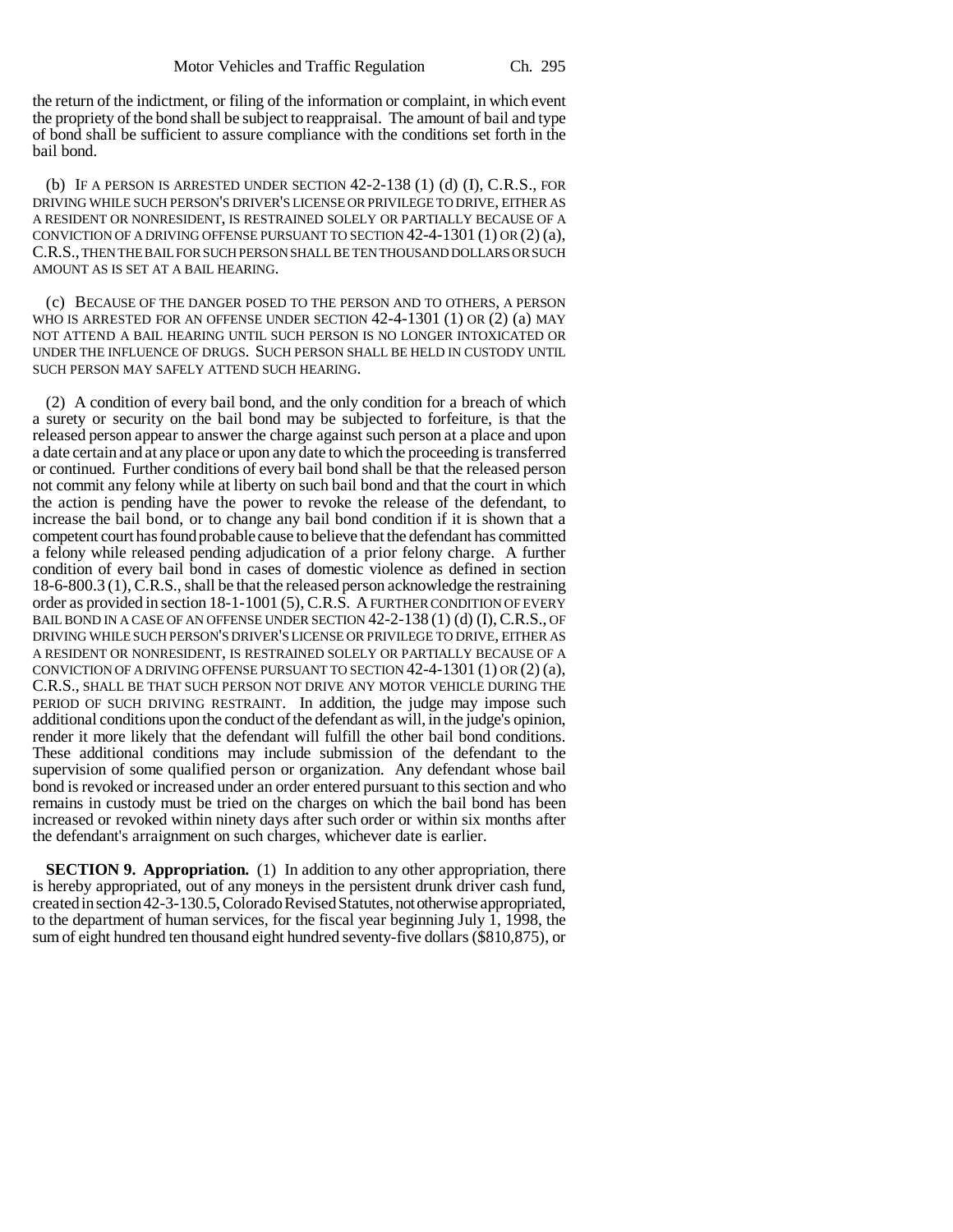the return of the indictment, or filing of the information or complaint, in which event the propriety of the bond shall be subject to reappraisal. The amount of bail and type of bond shall be sufficient to assure compliance with the conditions set forth in the bail bond.

(b) IF A PERSON IS ARRESTED UNDER SECTION  $42-2-138$  (1) (d) (I), C.R.S., FOR DRIVING WHILE SUCH PERSON'S DRIVER'S LICENSE OR PRIVILEGE TO DRIVE, EITHER AS A RESIDENT OR NONRESIDENT, IS RESTRAINED SOLELY OR PARTIALLY BECAUSE OF A CONVICTION OF A DRIVING OFFENSE PURSUANT TO SECTION 42-4-1301 (1) OR (2) (a), C.R.S., THEN THE BAIL FOR SUCH PERSON SHALL BE TEN THOUSAND DOLLARS OR SUCH AMOUNT AS IS SET AT A BAIL HEARING.

(c) BECAUSE OF THE DANGER POSED TO THE PERSON AND TO OTHERS, A PERSON WHO IS ARRESTED FOR AN OFFENSE UNDER SECTION 42-4-1301 (1) OR (2) (a) MAY NOT ATTEND A BAIL HEARING UNTIL SUCH PERSON IS NO LONGER INTOXICATED OR UNDER THE INFLUENCE OF DRUGS. SUCH PERSON SHALL BE HELD IN CUSTODY UNTIL SUCH PERSON MAY SAFELY ATTEND SUCH HEARING.

(2) A condition of every bail bond, and the only condition for a breach of which a surety or security on the bail bond may be subjected to forfeiture, is that the released person appear to answer the charge against such person at a place and upon a date certain and at any place or upon any date to which the proceeding is transferred or continued. Further conditions of every bail bond shall be that the released person not commit any felony while at liberty on such bail bond and that the court in which the action is pending have the power to revoke the release of the defendant, to increase the bail bond, or to change any bail bond condition if it is shown that a competent court has found probable cause to believe that the defendant has committed a felony while released pending adjudication of a prior felony charge. A further condition of every bail bond in cases of domestic violence as defined in section 18-6-800.3 (1), C.R.S., shall be that the released person acknowledge the restraining order as provided in section 18-1-1001 (5), C.R.S. A FURTHER CONDITION OF EVERY BAIL BOND IN A CASE OF AN OFFENSE UNDER SECTION 42-2-138 (1) (d) (I), C.R.S., OF DRIVING WHILE SUCH PERSON'S DRIVER'S LICENSE OR PRIVILEGE TO DRIVE, EITHER AS A RESIDENT OR NONRESIDENT, IS RESTRAINED SOLELY OR PARTIALLY BECAUSE OF A CONVICTION OF A DRIVING OFFENSE PURSUANT TO SECTION  $42-4-1301(1)$  OR  $(2)(a)$ , C.R.S., SHALL BE THAT SUCH PERSON NOT DRIVE ANY MOTOR VEHICLE DURING THE PERIOD OF SUCH DRIVING RESTRAINT. In addition, the judge may impose such additional conditions upon the conduct of the defendant as will, in the judge's opinion, render it more likely that the defendant will fulfill the other bail bond conditions. These additional conditions may include submission of the defendant to the supervision of some qualified person or organization. Any defendant whose bail bond is revoked or increased under an order entered pursuant to this section and who remains in custody must be tried on the charges on which the bail bond has been increased or revoked within ninety days after such order or within six months after the defendant's arraignment on such charges, whichever date is earlier.

**SECTION 9. Appropriation.** (1) In addition to any other appropriation, there is hereby appropriated, out of any moneys in the persistent drunk driver cash fund, created in section 42-3-130.5, Colorado Revised Statutes, not otherwise appropriated, to the department of human services, for the fiscal year beginning July 1, 1998, the sum of eight hundred ten thousand eight hundred seventy-five dollars (\$810,875), or